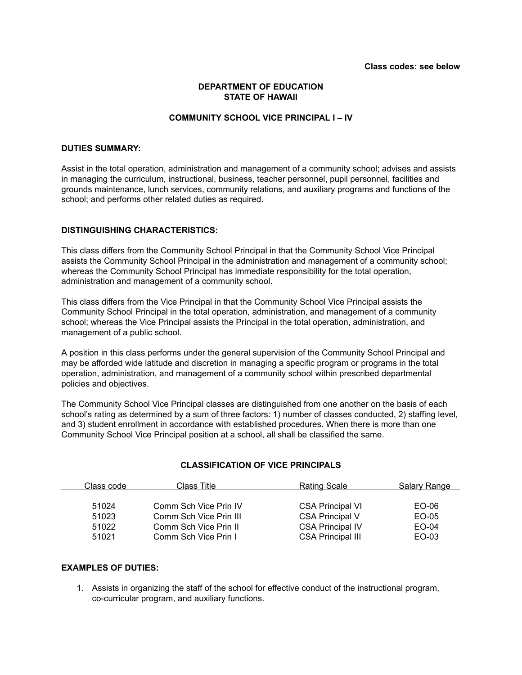## **DEPARTMENT OF EDUCATION STATE OF HAWAII**

### **COMMUNITY SCHOOL VICE PRINCIPAL I – IV**

#### **DUTIES SUMMARY:**

Assist in the total operation, administration and management of a community school; advises and assists in managing the curriculum, instructional, business, teacher personnel, pupil personnel, facilities and grounds maintenance, lunch services, community relations, and auxiliary programs and functions of the school; and performs other related duties as required.

### **DISTINGUISHING CHARACTERISTICS:**

This class differs from the Community School Principal in that the Community School Vice Principal assists the Community School Principal in the administration and management of a community school; whereas the Community School Principal has immediate responsibility for the total operation, administration and management of a community school.

This class differs from the Vice Principal in that the Community School Vice Principal assists the Community School Principal in the total operation, administration, and management of a community school; whereas the Vice Principal assists the Principal in the total operation, administration, and management of a public school.

A position in this class performs under the general supervision of the Community School Principal and may be afforded wide latitude and discretion in managing a specific program or programs in the total operation, administration, and management of a community school within prescribed departmental policies and objectives.

The Community School Vice Principal classes are distinguished from one another on the basis of each school's rating as determined by a sum of three factors: 1) number of classes conducted, 2) staffing level, and 3) student enrollment in accordance with established procedures. When there is more than one Community School Vice Principal position at a school, all shall be classified the same.

### **CLASSIFICATION OF VICE PRINCIPALS**

| Class code | Class Title            | <b>Rating Scale</b>      | Salary Range |
|------------|------------------------|--------------------------|--------------|
|            |                        |                          |              |
| 51024      | Comm Sch Vice Prin IV  | <b>CSA Principal VI</b>  | EO-06        |
| 51023      | Comm Sch Vice Prin III | <b>CSA Principal V</b>   | EO-05        |
| 51022      | Comm Sch Vice Prin II  | <b>CSA Principal IV</b>  | EO-04        |
| 51021      | Comm Sch Vice Prin I   | <b>CSA Principal III</b> | EO-03        |

## **EXAMPLES OF DUTIES:**

1. Assists in organizing the staff of the school for effective conduct of the instructional program, co-curricular program, and auxiliary functions.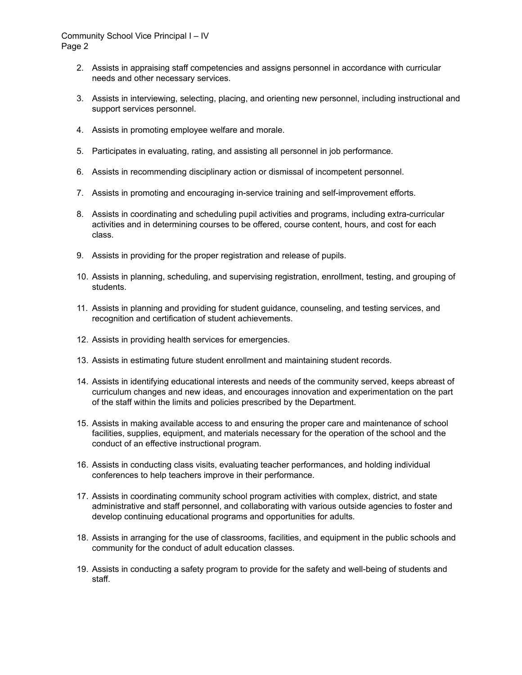### Community School Vice Principal I – IV Page 2

- 2. Assists in appraising staff competencies and assigns personnel in accordance with curricular needs and other necessary services.
- 3. Assists in interviewing, selecting, placing, and orienting new personnel, including instructional and support services personnel.
- 4. Assists in promoting employee welfare and morale.
- 5. Participates in evaluating, rating, and assisting all personnel in job performance.
- 6. Assists in recommending disciplinary action or dismissal of incompetent personnel.
- 7. Assists in promoting and encouraging in-service training and self-improvement efforts.
- 8. Assists in coordinating and scheduling pupil activities and programs, including extra-curricular activities and in determining courses to be offered, course content, hours, and cost for each class.
- 9. Assists in providing for the proper registration and release of pupils.
- 10. Assists in planning, scheduling, and supervising registration, enrollment, testing, and grouping of students.
- 11. Assists in planning and providing for student guidance, counseling, and testing services, and recognition and certification of student achievements.
- 12. Assists in providing health services for emergencies.
- 13. Assists in estimating future student enrollment and maintaining student records.
- 14. Assists in identifying educational interests and needs of the community served, keeps abreast of curriculum changes and new ideas, and encourages innovation and experimentation on the part of the staff within the limits and policies prescribed by the Department.
- 15. Assists in making available access to and ensuring the proper care and maintenance of school facilities, supplies, equipment, and materials necessary for the operation of the school and the conduct of an effective instructional program.
- 16. Assists in conducting class visits, evaluating teacher performances, and holding individual conferences to help teachers improve in their performance.
- 17. Assists in coordinating community school program activities with complex, district, and state administrative and staff personnel, and collaborating with various outside agencies to foster and develop continuing educational programs and opportunities for adults.
- 18. Assists in arranging for the use of classrooms, facilities, and equipment in the public schools and community for the conduct of adult education classes.
- 19. Assists in conducting a safety program to provide for the safety and well-being of students and staff.